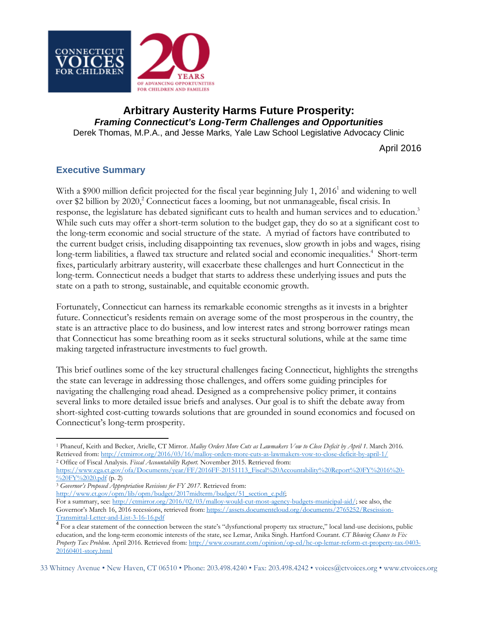

# **Arbitrary Austerity Harms Future Prosperity:**  *Framing Connecticut's Long-Term Challenges and Opportunities* Derek Thomas, M.P.A., and Jesse Marks, Yale Law School Legislative Advocacy Clinic

April 2016

# **Executive Summary**

With a \$900 million deficit projected for the fiscal year beginning July 1, 2016<sup>1</sup> and widening to well over \$2 billion by 2020,<sup>2</sup> Connecticut faces a looming, but not unmanageable, fiscal crisis. In response, the legislature has debated significant cuts to health and human services and to education.<sup>3</sup> While such cuts may offer a short-term solution to the budget gap, they do so at a significant cost to the long-term economic and social structure of the state. A myriad of factors have contributed to the current budget crisis, including disappointing tax revenues, slow growth in jobs and wages, rising long-term liabilities, a flawed tax structure and related social and economic inequalities.<sup>4</sup> Short-term fixes, particularly arbitrary austerity, will exacerbate these challenges and hurt Connecticut in the long-term. Connecticut needs a budget that starts to address these underlying issues and puts the state on a path to strong, sustainable, and equitable economic growth.

Fortunately, Connecticut can harness its remarkable economic strengths as it invests in a brighter future. Connecticut's residents remain on average some of the most prosperous in the country, the state is an attractive place to do business, and low interest rates and strong borrower ratings mean that Connecticut has some breathing room as it seeks structural solutions, while at the same time making targeted infrastructure investments to fuel growth.

This brief outlines some of the key structural challenges facing Connecticut, highlights the strengths the state can leverage in addressing those challenges, and offers some guiding principles for navigating the challenging road ahead. Designed as a comprehensive policy primer, it contains several links to more detailed issue briefs and analyses. Our goal is to shift the debate away from short-sighted cost-cutting towards solutions that are grounded in sound economics and focused on Connecticut's long-term prosperity.

l <sup>1</sup> Phaneuf, Keith and Becker, Arielle, CT Mirror. *Malloy Orders More Cuts as Lawmakers Vow to Close Deficit by April 1*. March 2016. Retrieved from: [http://ctmirror.org/2016/03/16/malloy](http://ctmirror.org/2016/03/16/malloy-orders-more-cuts-as-lawmakers-vow-to-close-deficit-by-april-1/)-orders-more-cuts-as-lawmakers-vow-to-close-deficit-by-april-1/ <sup>2</sup> Office of Fiscal Analysis. *Fiscal Accountability Report.* November 2015. Retrieved from:

<sup>3</sup> Governor's Proposed Appropriation Revisions for FY 2017. Retrieved from:

[http://www.ct.gov/opm/lib/opm/budget/2017midterm/budget/51\\_section\\_c.pdf](http://www.ct.gov/opm/lib/opm/budget/2017midterm/budget/51_section_c.pdf);

For a summary, see: [http://ctmirror.org/2016/02/03/malloy](http://ctmirror.org/2016/02/03/malloy-would-cut-most-agency-budgets-municipal-aid/)-would-cut-most-agency-budgets-municipal-aid/; see also, the Governor's March 16, 2016 recessions, retrieved from: [https://assets.documentcloud.org/documents/2765252/Rescission](https://assets.documentcloud.org/documents/2765252/Rescission-Transmittal-Letter-and-List-3-16-16.pdf)-

33 Whitney Avenue • New Haven, CT 06510 • Phone: 203.498.4240 • Fax: 203.498.4242 • voices@ctvoices.org • www.ctvoices.org

https://www.cga.ct.gov/ofa/Documents/year/FF/2016FF-[20151113\\_Fiscal%20Accountability%20Report%20FY%2016%20](https://www.cga.ct.gov/ofa/Documents/year/FF/2016FF-20151113_Fiscal%20Accountability%20Report%20FY%2016%20-%20FY%2020.pdf)-  $\frac{\%20\text{FY}}{\%2020.}$ pdf (p. 2)

[Transmittal](https://assets.documentcloud.org/documents/2765252/Rescission-Transmittal-Letter-and-List-3-16-16.pdf)-Letter-and-List-3-16-16.pdf<br> $\frac{4}{\sqrt{3}}$  For a clear statement of the connection between the state's "dysfunctional property tax structure," local land-use decisions, public education, and the long-term economic interests of the state, see Lemar, Anika Singh. Hartford Courant. *CT Blowing Chance to Fix Property Tax Problem*. April 2016. Retrieved from: [http://www.courant.com/opinion/op](http://www.courant.com/opinion/op-ed/hc-op-lemar-reform-ct-property-tax-0403-20160401-story.html)-ed/hc-op-lemar-reform-ct-property-tax-0403- 20160401-[story.html](http://www.courant.com/opinion/op-ed/hc-op-lemar-reform-ct-property-tax-0403-20160401-story.html)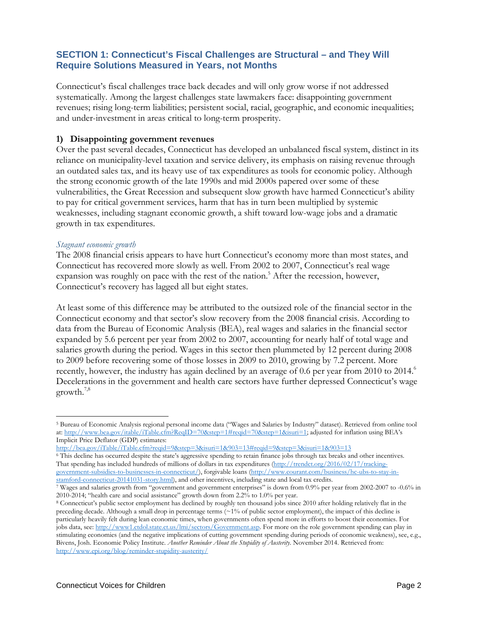# **SECTION 1: Connecticut's Fiscal Challenges are Structural – and They Will Require Solutions Measured in Years, not Months**

Connecticut's fiscal challenges trace back decades and will only grow worse if not addressed systematically. Among the largest challenges state lawmakers face: disappointing government revenues; rising long-term liabilities; persistent social, racial, geographic, and economic inequalities; and under-investment in areas critical to long-term prosperity.

## **1) Disappointing government revenues**

Over the past several decades, Connecticut has developed an unbalanced fiscal system, distinct in its reliance on municipality-level taxation and service delivery, its emphasis on raising revenue through an outdated sales tax, and its heavy use of tax expenditures as tools for economic policy. Although the strong economic growth of the late 1990s and mid 2000s papered over some of these vulnerabilities, the Great Recession and subsequent slow growth have harmed Connecticut's ability to pay for critical government services, harm that has in turn been multiplied by systemic weaknesses, including stagnant economic growth, a shift toward low-wage jobs and a dramatic growth in tax expenditures.

### *Stagnant economic growth*

The 2008 financial crisis appears to have hurt Connecticut's economy more than most states, and Connecticut has recovered more slowly as well. From 2002 to 2007, Connecticut's real wage expansion was roughly on pace with the rest of the nation.<sup>5</sup> After the recession, however, Connecticut's recovery has lagged all but eight states.

At least some of this difference may be attributed to the outsized role of the financial sector in the Connecticut economy and that sector's slow recovery from the 2008 financial crisis. According to data from the Bureau of Economic Analysis (BEA), real wages and salaries in the financial sector expanded by 5.6 percent per year from 2002 to 2007, accounting for nearly half of total wage and salaries growth during the period. Wages in this sector then plummeted by 12 percent during 2008 to 2009 before recovering some of those losses in 2009 to 2010, growing by 7.2 percent. More recently, however, the industry has again declined by an average of 0.6 per year from 2010 to 2014.<sup>6</sup> Decelerations in the government and health care sectors have further depressed Connecticut's wage growth. $7,8$ 

<http://bea.gov/iTable/iTable.cfm?reqid=9&step=3&isuri=1&903=13#reqid=9&step=3&isuri=1&903=13>

<sup>6</sup> This decline has occurred despite the state's aggressive spending to retain finance jobs through tax breaks and other incentives. That spending has included hundreds of millions of dollars in tax expenditures [\(http://trendct.org/2016/02/17/tracking](http://trendct.org/2016/02/17/tracking-government-subsidies-to-businesses-in-connecticut/)government-subsidies-to-businesses-in-[connecticut/\)](http://trendct.org/2016/02/17/tracking-government-subsidies-to-businesses-in-connecticut/), forgivable loans [\(http://www.courant.com/business/hc](http://www.courant.com/business/hc-ubs-to-stay-in-stamford-connecticut-20141031-story.html)-ubs-to-stay-instamford-[connecticut](http://www.courant.com/business/hc-ubs-to-stay-in-stamford-connecticut-20141031-story.html)-20141031-story.html), and other incentives, including state and local tax credits.

 $\overline{\phantom{a}}$ <sup>5</sup> Bureau of Economic Analysis regional personal income data ("Wages and Salaries by Industry" dataset). Retrieved from online tool at[: http://www.bea.gov/itable/iTable.cfm?ReqID=70&step=1#reqid=70&step=1&isuri=1;](http://www.bea.gov/itable/iTable.cfm?ReqID=70&step=1#reqid=70&step=1&isuri=1) adjusted for inflation using BEA's Implicit Price Deflator (GDP) estimates:

<sup>7</sup> Wages and salaries growth from "government and government enterprises" is down from 0.9% per year from 2002-2007 to -0.6% in

<sup>&</sup>lt;sup>8</sup> Connecticut's public sector employment has declined by roughly ten thousand jobs since 2010 after holding relatively flat in the preceding decade. Although a small drop in percentage terms (~1% of public sector employment), the impact of this decline is particularly heavily felt during lean economic times, when governments often spend more in efforts to boost their economies. For jobs data, see[: http://www1.ctdol.state.ct.us/lmi/sectors/Government.asp.](http://www1.ctdol.state.ct.us/lmi/sectors/Government.asp) For more on the role government spending can play in stimulating economies (and the negative implications of cutting government spending during periods of economic weakness), see, e.g., Bivens, Josh. Economic Policy Institute. *Another Reminder About the Stupidity of Austerity*. November 2014. Retrieved from: [http://www.epi.org/blog/reminder](http://www.epi.org/blog/reminder-stupidity-austerity/)-stupidity-austerity/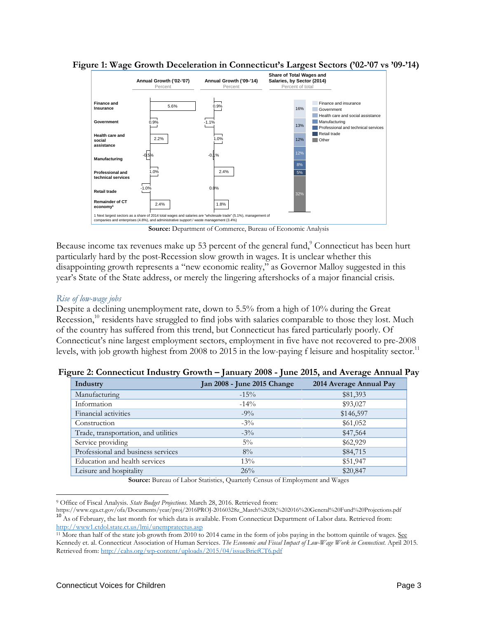

**Figure 1: Wage Growth Deceleration in Connecticut's Largest Sectors ('02-'07 vs '09-'14)**

Source: Department of Commerce, Bureau of Economic Analysis

Because income tax revenues make up 53 percent of the general fund,<sup>9</sup> Connecticut has been hurt particularly hard by the post-Recession slow growth in wages. It is unclear whether this disappointing growth represents a "new economic reality," as Governor Malloy suggested in this year's State of the State address, or merely the lingering aftershocks of a major financial crisis.

### *Rise of low-wage jobs*

Despite a declining unemployment rate, down to 5.5% from a high of 10% during the Great Recession,<sup>10</sup> residents have struggled to find jobs with salaries comparable to those they lost. Much of the country has suffered from this trend, but Connecticut has fared particularly poorly. Of Connecticut's nine largest employment sectors, employment in five have not recovered to pre-2008 levels, with job growth highest from 2008 to 2015 in the low-paying f leisure and hospitality sector.<sup>11</sup>

| Industry                             | Jan 2008 - June 2015 Change | 2014 Average Annual Pay |
|--------------------------------------|-----------------------------|-------------------------|
| Manufacturing                        | $-15\%$                     | \$81,393                |
| Information                          | $-14\%$                     | \$93,027                |
| Financial activities                 | $-9\%$                      | \$146,597               |
| Construction                         | $-3\%$                      | \$61,052                |
| Trade, transportation, and utilities | $-3\%$                      | \$47,564                |
| Service providing                    | $5\%$                       | \$62,929                |
| Professional and business services   | $8\%$                       | \$84,715                |
| Education and health services        | 13%                         | \$51,947                |
| Leisure and hospitality              | 26%                         | \$20,847                |

**Figure 2: Connecticut Industry Growth – January 2008 - June 2015, and Average Annual Pay**

**Source:** Bureau of Labor Statistics, Quarterly Census of Employment and Wages

l

<sup>9</sup> Office of Fiscal Analysis. *State Budget Projections*. March 28, 2016. Retrieved from: <sup>10</sup> As of February, the last month for which data is available. From Connecticut Department of Labor data. Retrieved from: <http://www1.ctdol.state.ct.us/lmi/unempratectus.asp>

<sup>&</sup>lt;sup>11</sup> More than half of the state job growth from 2010 to 2014 came in the form of jobs paying in the bottom quintile of wages. See Kennedy et. al. Connecticut Association of Human Services. *The Economic and Fiscal Impact of Low-Wage Work in Connecticut*. April 2015. Retrieved from: http://cahs.org/wp-[content/uploads/2015/04/issueBriefCT6.pdf](http://cahs.org/wp-content/uploads/2015/04/issueBriefCT6.pdf)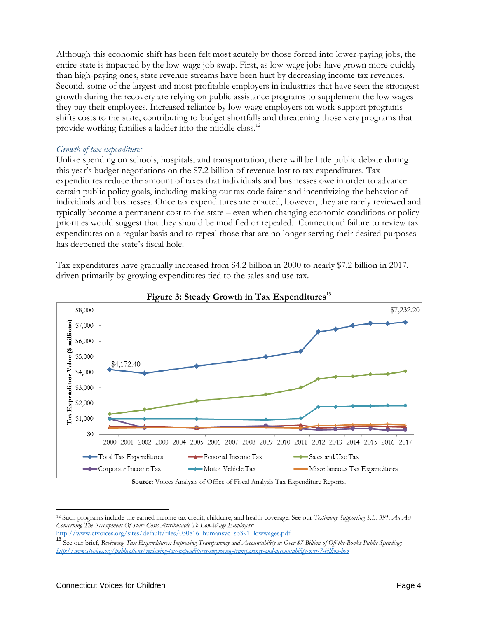Although this economic shift has been felt most acutely by those forced into lower-paying jobs, the entire state is impacted by the low-wage job swap. First, as low-wage jobs have grown more quickly than high-paying ones, state revenue streams have been hurt by decreasing income tax revenues. Second, some of the largest and most profitable employers in industries that have seen the strongest growth during the recovery are relying on public assistance programs to supplement the low wages they pay their employees. Increased reliance by low-wage employers on work-support programs shifts costs to the state, contributing to budget shortfalls and threatening those very programs that provide working families a ladder into the middle class.<sup>12</sup>

#### *Growth of tax expenditures*

Unlike spending on schools, hospitals, and transportation, there will be little public debate during this year's budget negotiations on the \$7.2 billion of revenue lost to tax expenditures. Tax expenditures reduce the amount of taxes that individuals and businesses owe in order to advance certain public policy goals, including making our tax code fairer and incentivizing the behavior of individuals and businesses. Once tax expenditures are enacted, however, they are rarely reviewed and typically become a permanent cost to the state – even when changing economic conditions or policy priorities would suggest that they should be modified or repealed. Connecticut' failure to review tax expenditures on a regular basis and to repeal those that are no longer serving their desired purposes has deepened the state's fiscal hole.

Tax expenditures have gradually increased from \$4.2 billion in 2000 to nearly \$7.2 billion in 2017, driven primarily by growing expenditures tied to the sales and use tax.





#### **Source**: Voices Analysis of Office of Fiscal Analysis Tax Expenditure Reports.

l <sup>12</sup> Such programs include the earned income tax credit, childcare, and health coverage. See our *Testimony Supporting S.B. 391: An Act Concerning The Recoupment Of State Costs Attributable To Low-Wage Employers:* 

[http://www.ctvoices.org/sites/default/files/030816\\_humansvc\\_sb391\\_lowwages.pdf](http://www.ctvoices.org/sites/default/files/030816_humansvc_sb391_lowwages.pdf)

<sup>13</sup> See our brief, *Reviewing Tax Expenditures: Improving Transparency and Accountability in Over \$7 Billion of Off-the-Books Public Spending: <http://www.ctvoices.org/publications/reviewing-tax-expenditures-improving-transparency-and-accountability-over-7-billion-boo>*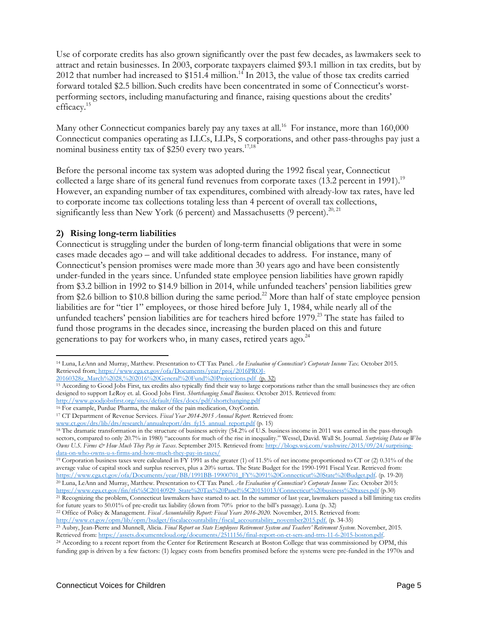Use of corporate credits has also grown significantly over the past few decades, as lawmakers seek to attract and retain businesses. In 2003, corporate taxpayers claimed \$93.1 million in tax credits, but by 2012 that number had increased to \$151.4 million.<sup>14</sup> In 2013, the value of those tax credits carried forward totaled \$2.5 billion. Such credits have been concentrated in some of Connecticut's worstperforming sectors, including manufacturing and finance, raising questions about the credits' efficacy. 15

Many other Connecticut companies barely pay any taxes at all.<sup>16</sup> For instance, more than 160,000 Connecticut companies operating as LLCs, LLPs, S corporations, and other pass-throughs pay just a nominal business entity tax of \$250 every two years.<sup>17,18</sup>

Before the personal income tax system was adopted during the 1992 fiscal year, Connecticut collected a large share of its general fund revenues from corporate taxes (13.2 percent in 1991).<sup>19</sup> However, an expanding number of tax expenditures, combined with already-low tax rates, have led to corporate income tax collections totaling less than 4 percent of overall tax collections, significantly less than New York (6 percent) and Massachusetts (9 percent).<sup>20, 21</sup>

# **2) Rising long-term liabilities**

Connecticut is struggling under the burden of long-term financial obligations that were in some cases made decades ago – and will take additional decades to address. For instance, many of Connecticut's pension promises were made more than 30 years ago and have been consistently under-funded in the years since. Unfunded state employee pension liabilities have grown rapidly from \$3.2 billion in 1992 to \$14.9 billion in 2014, while unfunded teachers' pension liabilities grew from \$2.6 billion to \$10.8 billion during the same period.<sup>22</sup> More than half of state employee pension liabilities are for "tier 1" employees, or those hired before July 1, 1984, while nearly all of the unfunded teachers' pension liabilities are for teachers hired before 1979.<sup>23</sup> The state has failed to fund those programs in the decades since, increasing the burden placed on this and future generations to pay for workers who, in many cases, retired years ago.<sup>24</sup>

 $\overline{\phantom{a}}$ <sup>14</sup> Luna, LeAnn and Murray, Matthew. Presentation to CT Tax Panel. *An Evaluation of Connecticut's Corporate Income Tax*. October 2015. Retrieved from: https://www.cga.ct.gov/ofa/Documents/year/proj/2016PROJ-

<sup>20160328</sup>z\_March%2028,%202016%20General%20Fund%20Projections.pdf (p. 32)

<sup>&</sup>lt;sup>15</sup> According to Good Jobs First, tax credits also typically find their way to large corporations rather than the small businesses they are often designed to support LeRoy et. al. Good Jobs First. *Shortchanging Small Business.* October 2015. Retrieved from: <http://www.goodjobsfirst.org/sites/default/files/docs/pdf/shortchanging.pdf>

<sup>16</sup> For example, Purdue Pharma, the maker of the pain medication, OxyContin.

<sup>17</sup> CT Department of Revenue Services. *Fiscal Year 2014-2015 Annual Report.* Retrieved from:

[www.ct.gov/drs/lib/drs/research/annualreport/drs\\_fy15\\_annual\\_report.pdf](http://www.ct.gov/drs/lib/drs/research/annualreport/drs_fy15_annual_report.pdf) (p. 15)

<sup>&</sup>lt;sup>18</sup> The dramatic transformation in the structure of business activity (54.2% of U.S. business income in 2011 was earned in the pass-through sectors, compared to only 20.7% in 1980) "accounts for much of the rise in inequality." Wessel, David. Wall St. Journal. *Surprising Data on Who Owns U.S. Firms & How Much They Pay in Taxes*. September 2015. Retrieved from: [http://blogs.wsj.com/washwire/2015/09/24/surprising](http://blogs.wsj.com/washwire/2015/09/24/surprising-data-on-who-owns-u-s-firms-and-how-much-they-pay-in-taxes/)data-on-who-owns-u-s-firms-and-how-much-they-pay-in-[taxes/](http://blogs.wsj.com/washwire/2015/09/24/surprising-data-on-who-owns-u-s-firms-and-how-much-they-pay-in-taxes/)

<sup>&</sup>lt;sup>19</sup> Corporation business taxes were calculated in FY 1991 as the greater (1) of 11.5% of net income proportioned to CT or (2) 0.31% of the average value of capital stock and surplus reserves, plus a 20% surtax. The State Budget for the 1990-1991 Fiscal Year. Retrieved from: https://www.cga.ct.gov/ofa/Documents/year/BB/1991BB-[19900701\\_FY%2091%20Connecticut%20State%20Budget.pdf.](https://www.cga.ct.gov/ofa/Documents/year/BB/1991BB-19900701_FY%2091%20Connecticut%20State%20Budget.pdf) (p. 19-20)

<sup>20</sup> Luna, LeAnn and Murray, Matthew. Presentation to CT Tax Panel. *An Evaluation of Connecticut's Corporate Income Tax*. October 2015: [https://www.cga.ct.gov/fin/tfs%5C20140929\\_State%20Tax%20Panel%5C20151013/Connecticut%20business%20taxes.pdf](https://www.cga.ct.gov/fin/tfs%5C20140929_State%20Tax%20Panel%5C20151013/Connecticut%20business%20taxes.pdf) (p.30)

<sup>&</sup>lt;sup>21</sup> Recognizing the problem, Connecticut lawmakers have started to act. In the summer of last year, lawmakers passed a bill limiting tax credits for future years to 50.01% of pre-credit tax liability (down from 70% prior to the bill's passage). Luna (p. 32) <sup>22</sup> Office of Policy & Management. *Fiscal Accountability Report: Fiscal Years 2016-2020.* November, 2015. Retrieved from:

[http://www.ct.gov/opm/lib/opm/budget/fiscalaccountability/fiscal\\_accountability\\_november2015.pdf.](http://www.ct.gov/opm/lib/opm/budget/fiscalaccountability/fiscal_accountability_november2015.pdf) (p. 34-35)

<sup>23</sup> Aubry, Jean-Pierre and Munnell, Alicia. *Final Report on State Employees Retirement System and Teachers' Retirement System*. November, 2015. Retrieved from: [https://assets.documentcloud.org/documents/2511156/final](https://assets.documentcloud.org/documents/2511156/final-report-on-ct-sers-and-trrs-11-6-2015-boston.pdf)-report-on-ct-sers-and-trrs-11-6-2015-boston.pdf.

<sup>&</sup>lt;sup>24</sup> According to a recent report from the Center for Retirement Research at Boston College that was commissioned by OPM, this funding gap is driven by a few factors: (1) legacy costs from benefits promised before the systems were pre-funded in the 1970s and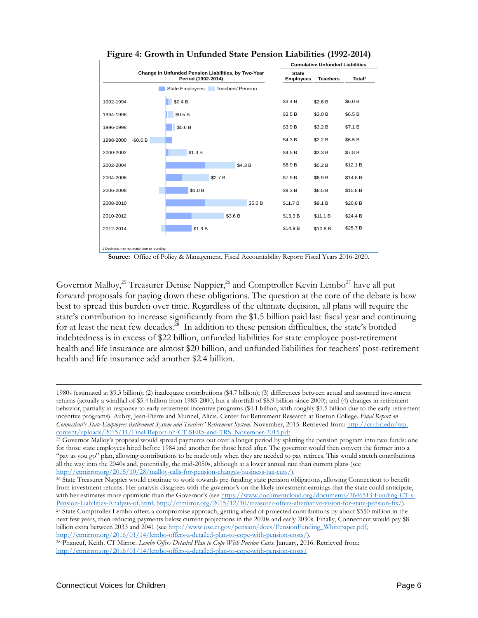|                                                                           |                                   | <b>Cumulative Unfunded Liabilities</b> |                 |                    |
|---------------------------------------------------------------------------|-----------------------------------|----------------------------------------|-----------------|--------------------|
| Change in Unfunded Pension Liabilities, by Two-Year<br>Period (1992-2014) |                                   | <b>State</b><br><b>Employees</b>       | <b>Teachers</b> | Total <sup>1</sup> |
|                                                                           | State Employees Teachers' Pension |                                        |                 |                    |
| 1992-1994                                                                 | \$0.4 B                           | \$3.4 B                                | \$2.6 B         | \$6.0 B            |
| 1994-1996                                                                 | \$0.5 B                           | \$3.5 B                                | \$3.0 B         | \$6.5 B            |
| 1996-1998                                                                 | \$0.6 B                           | \$3.9 B                                | \$3.2 B         | \$7.1 B            |
| $-$0.6 B$<br>1998-2000                                                    |                                   | \$4.3 B                                | \$2.2 B         | \$6.5 B            |
| 2000-2002                                                                 | \$1.3 B                           | \$4.5 B                                | \$3.3 B         | \$7.8 B            |
| 2002-2004                                                                 | \$4.3 B                           | \$6.9 B                                | \$5.2 B         | \$12.1 B           |
| 2004-2006                                                                 | \$2.7 B                           | \$7.9 B                                | \$6.9 B         | \$14.8 B           |
| 2006-2008                                                                 | \$1.0 B                           | \$9.3 B                                | \$6.5 B         | \$15.8 B           |
| 2008-2010                                                                 | \$5.0 B                           | \$11.7 B                               | \$9.1 B         | \$20.8 B           |
| 2010-2012                                                                 | \$3.6 B                           | \$13.3 B                               | \$11.1 B        | \$24.4 B           |
| 2012-2014                                                                 | \$1.3 B                           | \$14.9 B                               | \$10.8 B        | \$25.7 B           |
| 1 Decimals may not match due to rounding                                  |                                   |                                        |                 |                    |



**Source:** Office of Policy & Management. Fiscal Accountability Report: Fiscal Years 2016-2020.

Governor Malloy,<sup>25</sup> Treasurer Denise Nappier,<sup>26</sup> and Comptroller Kevin Lembo<sup>27</sup> have all put forward proposals for paying down these obligations. The question at the core of the debate is how best to spread this burden over time. Regardless of the ultimate decision, all plans will require the state's contribution to increase significantly from the \$1.5 billion paid last fiscal year and continuing for at least the next few decades.<sup>28</sup> In addition to these pension difficulties, the state's bonded indebtedness is in excess of \$22 billion, unfunded liabilities for state employee post-retirement health and life insurance are almost \$20 billion, and unfunded liabilities for teachers' post-retirement health and life insurance add another \$2.4 billion.

 $\overline{\phantom{a}}$ 

<sup>1980</sup>s (estimated at \$9.3 billion); (2) inadequate contributions (\$4.7 billion); (3) differences between actual and assumed investment returns (actually a windfall of \$5.4 billion from 1985-2000, but a shortfall of \$8.9 billion since 2000); and (4) changes in retirement behavior, partially in response to early retirement incentive programs (\$4.1 billion, with roughly \$1.5 billion due to the early retirement incentive programs). Aubry, Jean-Pierre and Munnel, Alicia. Center for Retirement Research at Boston College. *Final Report on Connecticut's State Employees Retirement System and Teachers' Retirement System.* November, 2015. Retrieved from: [http://crr.bc.edu/wp](http://crr.bc.edu/wp-content/uploads/2015/11/Final-Report-on-CT-SERS-and-TRS_November-2015.pdf)[content/uploads/2015/11/Final](http://crr.bc.edu/wp-content/uploads/2015/11/Final-Report-on-CT-SERS-and-TRS_November-2015.pdf)-Report-on-CT-SERS-and-TRS\_November-2015.pdf

<sup>25</sup> Governor Malloy's proposal would spread payments out over a longer period by splitting the pension program into two funds: one for those state employees hired before 1984 and another for those hired after. The governor would then convert the former into a "pay as you go" plan, allowing contributions to be made only when they are needed to pay retirees. This would stretch contributions all the way into the 2040s and, potentially, the mid-2050s, although at a lower annual rate than current plans (see [http://ctmirror.org/2015/10/28/malloy](http://ctmirror.org/2015/10/28/malloy-calls-for-pension-changes-business-tax-cuts/)-calls-for-pension-changes-business-tax-cuts/).

<sup>26</sup> State Treasurer Nappier would continue to work towards pre-funding state pension obligations, allowing Connecticut to benefit from investment returns. Her analysis disagrees with the governor's on the likely investment earnings that the state could anticipate, with her estimates more optimistic than the Governor's (se[e https://www.documentcloud.org/documents/2646513](https://www.documentcloud.org/documents/2646513-Funding-CT-s-Pension-Liabilities-Analysis-of.html)-Funding-CT-s-Pension-[Liabilities](https://www.documentcloud.org/documents/2646513-Funding-CT-s-Pension-Liabilities-Analysis-of.html)-Analysis-of.html; [http://ctmirror.org/2015/12/10/treasurer](http://ctmirror.org/2015/12/10/treasurer-offers-alternative-vision-for-state-pension-fix/)-offers-alternative-vision-for-state-pension-fix/). <sup>27</sup> State Comptroller Lembo offers a compromise approach, getting ahead of projected contributions by about \$550 million in the next few years, then reducing payments below current projections in the 2020s and early 2030s. Finally, Connecticut would pay \$8 billion extra between 2033 and 2041 (see [http://www.osc.ct.gov/pension/docs/PensionFunding\\_Whitepaper.pdf](http://www.osc.ct.gov/pension/docs/PensionFunding_Whitepaper.pdf); [http://ctmirror.org/2016/01/14/lembo](http://ctmirror.org/2016/01/14/lembo-offers-a-detailed-plan-to-cope-with-pension-costs/)-offers-a-detailed-plan-to-cope-with-pension-costs/).

<sup>28</sup> Phaneuf, Keith. CT Mirror. *Lembo Offers Detailed Plan to Cope With Pension Costs*. January, 2016. Retrieved from: [http://ctmirror.org/2016/01/14/lembo](http://ctmirror.org/2016/01/14/lembo-offers-a-detailed-plan-to-cope-with-pension-costs/)-offers-a-detailed-plan-to-cope-with-pension-costs/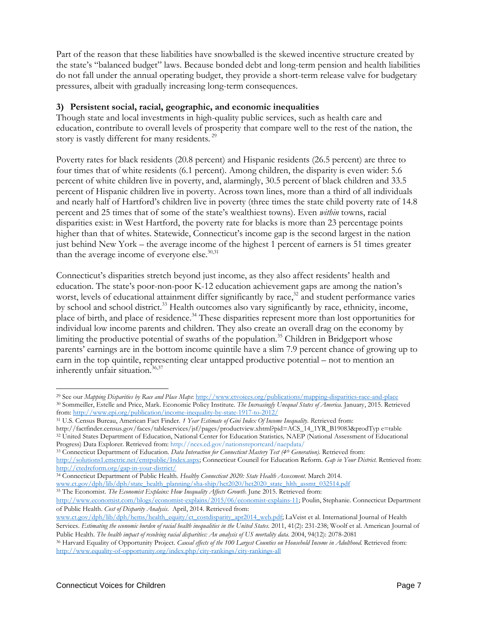Part of the reason that these liabilities have snowballed is the skewed incentive structure created by the state's "balanced budget" laws. Because bonded debt and long-term pension and health liabilities do not fall under the annual operating budget, they provide a short-term release valve for budgetary pressures, albeit with gradually increasing long-term consequences.

# **3) Persistent social, racial, geographic, and economic inequalities**

Though state and local investments in high-quality public services, such as health care and education, contribute to overall levels of prosperity that compare well to the rest of the nation, the story is vastly different for many residents.<sup>29</sup>

Poverty rates for black residents (20.8 percent) and Hispanic residents (26.5 percent) are three to four times that of white residents (6.1 percent). Among children, the disparity is even wider: 5.6 percent of white children live in poverty, and, alarmingly, 30.5 percent of black children and 33.5 percent of Hispanic children live in poverty. Across town lines, more than a third of all individuals and nearly half of Hartford's children live in poverty (three times the state child poverty rate of 14.8 percent and 25 times that of some of the state's wealthiest towns). Even *within* towns, racial disparities exist: in West Hartford, the poverty rate for blacks is more than 23 percentage points higher than that of whites. Statewide, Connecticut's income gap is the second largest in the nation just behind New York – the average income of the highest 1 percent of earners is 51 times greater than the average income of everyone else.<sup>30,31</sup>

Connecticut's disparities stretch beyond just income, as they also affect residents' health and education. The state's poor-non-poor K-12 education achievement gaps are among the nation's worst, levels of educational attainment differ significantly by race,<sup>32</sup> and student performance varies by school and school district.<sup>33</sup> Health outcomes also vary significantly by race, ethnicity, income, place of birth, and place of residence.<sup>34</sup> These disparities represent more than lost opportunities for individual low income parents and children. They also create an overall drag on the economy by limiting the productive potential of swaths of the population.<sup>35</sup> Children in Bridgeport whose parents' earnings are in the bottom income quintile have a slim 7.9 percent chance of growing up to earn in the top quintile, representing clear untapped productive potential – not to mention an inherently unfair situation. 36,37

l <sup>29</sup> See our *Mapping Disparities by Race and Place Maps*: [http://www.ctvoices.org/publications/mapping](http://www.ctvoices.org/publications/mapping-disparities-race-and-place)-disparities-race-and-place <sup>30</sup> Sommeiller, Estelle and Price, Mark. Economic Policy Institute. *The Increasingly Unequal States of America.* January, 2015. Retrieved from[: http://www.epi.org/publication/income](http://www.epi.org/publication/income-inequality-by-state-1917-to-2012/)-inequality-by-state-1917-to-2012/

<sup>31</sup> U.S. Census Bureau, American Fact Finder. *1 Year Estimate of Gini Index Of Income Inequality*. *R*etrieved from:

http://factfinder.census.gov/faces/tableservices/jsf/pages/productview.xhtml?pid=ACS\_14\_1YR\_B19083&prodTyp e=table <sup>32</sup> United States Department of Education, National Center for Education Statistics*,* NAEP (National Assessment of Educational Progress) Data Explorer. Retrieved from[: http://nces.ed.gov/nationsreportcard/naepdata/](http://nces.ed.gov/nationsreportcard/naepdata/)

<sup>33</sup> Connecticut Department of Education. *Data Interaction for Connecticut Mastery Test (4th Generation)*. Retrieved from: [http://solutions1.emetric.net/cmtpublic/Index.aspx;](http://solutions1.emetric.net/cmtpublic/Index.aspx) Connecticut Council for Education Reform. *Gap in Your District.* Retrieved from: [http://ctedreform.org/gap](http://ctedreform.org/gap-in-your-district/)-in-your-district/

<sup>34</sup> Connecticut Department of Public Health. *Healthy Connecticut 2020: State Health Assessment*. March 2014. [www.ct.gov/dph/lib/dph/state\\_health\\_planning/sha](http://www.ct.gov/dph/lib/dph/state_health_planning/sha-ship/hct2020/hct2020_state_hlth_assmt_032514.pdf)-ship/hct2020/hct2020\_state\_hlth\_assmt\_032514.pdf

<sup>35</sup> The Economist. *The Economist Explains: How Inequality Affects Growth*. June 2015. Retrieved from:

[http://www.economist.com/blogs/economist](http://www.economist.com/blogs/economist-explains/2015/06/economist-explains-11)-explains/2015/06/economist-explains-11; Poulin, Stephanie. Connecticut Department of Public Health. *Cost of Disparity Analysis*. April, 2014. Retrieved from:

[www.ct.gov/dph/lib/dph/hems/health\\_equity/ct\\_costdisparity\\_apr2014\\_web.pdf;](http://www.ct.gov/dph/lib/dph/hems/health_equity/ct_costdisparity_apr2014_web.pdf) LaVeist et al. International Journal of Health Services. *Estimating the economic burden of racial health inequalities in the United States*. 2011, 41(2): 231-238; Woolf et al. American Journal of Public Health. *The health impact of resolving racial disparities: An analysis of US mortality data*. 2004, 94(12): 2078-2081

<sup>&</sup>lt;sup>36</sup> Harvard Equality of Opportunity Project. *Causal effects of the 100 Largest Counties on Household Income in Adulthood*. Retrieved from: http://www.equality-of-[opportunity.org/index.php/city](http://www.equality-of-opportunity.org/index.php/city-rankings/city-rankings-all)-rankings/city-rankings-all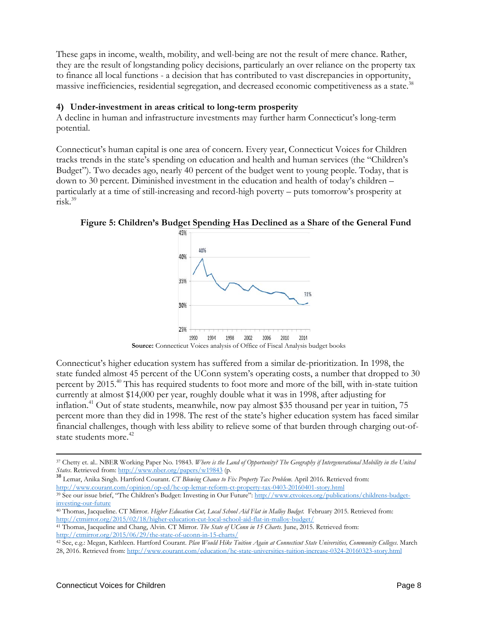These gaps in income, wealth, mobility, and well-being are not the result of mere chance. Rather, they are the result of longstanding policy decisions, particularly an over reliance on the property tax to finance all local functions - a decision that has contributed to vast discrepancies in opportunity, massive inefficiencies, residential segregation, and decreased economic competitiveness as a state.<sup>3</sup>

#### **4) Under-investment in areas critical to long-term prosperity**

A decline in human and infrastructure investments may further harm Connecticut's long-term potential.

Connecticut's human capital is one area of concern. Every year, Connecticut Voices for Children tracks trends in the state's spending on education and health and human services (the "Children's Budget"). Two decades ago, nearly 40 percent of the budget went to young people. Today, that is down to 30 percent. Diminished investment in the education and health of today's children – particularly at a time of still-increasing and record-high poverty – puts tomorrow's prosperity at risk.39



**Figure 5: Children's Budget Spending Has Declined as a Share of the General Fund**

Connecticut's higher education system has suffered from a similar de-prioritization. In 1998, the state funded almost 45 percent of the UConn system's operating costs, a number that dropped to 30 percent by 2015.40 This has required students to foot more and more of the bill, with in-state tuition currently at almost \$14,000 per year, roughly double what it was in 1998, after adjusting for inflation.<sup>41</sup> Out of state students, meanwhile, now pay almost \$35 thousand per year in tuition, 75 percent more than they did in 1998. The rest of the state's higher education system has faced similar financial challenges, though with less ability to relieve some of that burden through charging out-ofstate students more.<sup>42</sup>

<sup>39</sup> See our issue brief, "The Children's Budget: Investing in Our Future": [http://www.ctvoices.org/publications/childrens](http://www.ctvoices.org/publications/childrens-budget-investing-our-future)-budget[investing](http://www.ctvoices.org/publications/childrens-budget-investing-our-future)-our-future

l <sup>37</sup> Chetty et. al.. NBER Working Paper No. 19843. *Where is the Land of Opportunity? The Geography if Intergenerational Mobility in the United* 

*States*. Retrieved from[: http://www.nber.org/papers/w19843](http://www.nber.org/papers/w19843) (p. <sup>38</sup> Lemar, Anika Singh. Hartford Courant. *CT Blowing Chance to Fix Property Tax Problem.* April 2016. Retrieved from: [http://www.courant.com/opinion/op](http://www.courant.com/opinion/op-ed/hc-op-lemar-reform-ct-property-tax-0403-20160401-story.html)-ed/hc-op-lemar-reform-ct-property-tax-0403-20160401-story.html

<sup>40</sup> Thomas, Jacqueline. CT Mirror. *Higher Education Cut, Local School Aid Flat in Malloy Budget.* February 2015. Retrieved from: [http://ctmirror.org/2015/02/18/higher](http://ctmirror.org/2015/02/18/higher-education-cut-local-school-aid-flat-in-malloy-budget/)-education-cut-local-school-aid-flat-in-malloy-budget/

<sup>41</sup> Thomas, Jacqueline and Chang, Alvin. CT Mirror. *The State of UConn in 15 Charts*. June, 2015. Retrieved from: [http://ctmirror.org/2015/06/29/the](http://ctmirror.org/2015/06/29/the-state-of-uconn-in-15-charts/)-state-of-uconn-in-15-charts/

<sup>42</sup> See, e.g.: Megan, Kathleen. Hartford Courant. *Plan Would Hike Tuition Again at Connecticut State Universities, Community Colleges*. March 28, 2016. Retrieved from: [http://www.courant.com/education/hc](http://www.courant.com/education/hc-state-universities-tuition-increase-0324-20160323-story.html)-state-universities-tuition-increase-0324-20160323-story.html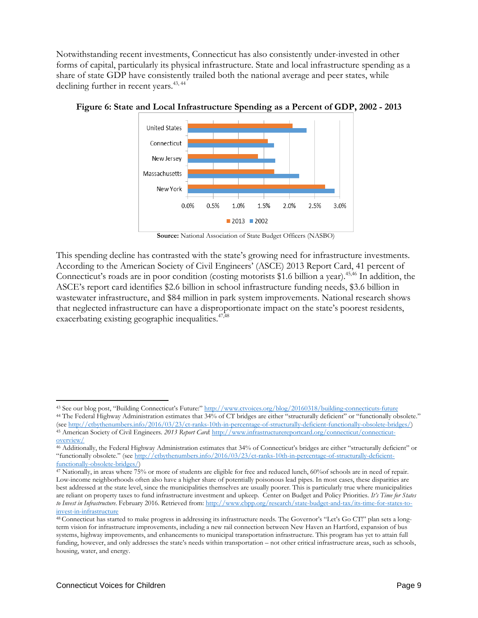Notwithstanding recent investments, Connecticut has also consistently under-invested in other forms of capital, particularly its physical infrastructure. State and local infrastructure spending as a share of state GDP have consistently trailed both the national average and peer states, while declining further in recent years.<sup>43, 44</sup>



**Figure 6: State and Local Infrastructure Spending as a Percent of GDP, 2002 - 2013**

This spending decline has contrasted with the state's growing need for infrastructure investments. According to the American Society of Civil Engineers' (ASCE) 2013 Report Card, 41 percent of Connecticut's roads are in poor condition (costing motorists \$1.6 billion a year).<sup>45,46</sup> In addition, the ASCE's report card identifies \$2.6 billion in school infrastructure funding needs, \$3.6 billion in wastewater infrastructure, and \$84 million in park system improvements. National research shows that neglected infrastructure can have a disproportionate impact on the state's poorest residents, exacerbating existing geographic inequalities.<sup>47,48</sup>

 $\overline{\phantom{a}}$ 

**Source:** National Association of State Budget Officers (NASBO)

<sup>43</sup> See our blog post, "Building Connecticut's Future:" [http://www.ctvoices.org/blog/20160318/building](http://www.ctvoices.org/blog/20160318/building-connecticuts-future)-connecticuts-future

<sup>&</sup>lt;sup>44</sup> The Federal Highway Administration estimates that 34% of CT bridges are either "structurally deficient" or "functionally obsolete." (se[e http://ctbythenumbers.info/2016/03/23/ct](http://ctbythenumbers.info/2016/03/23/ct-ranks-10th-in-percentage-of-structurally-deficient-functionally-obsolete-bridges/)-ranks-10th-in-percentage-of-structurally-deficient-functionally-obsolete-bridges/) 45 American Society of Civil Engineers. 2013 Report Card: [http://www.infrastructurereportcard.org/connecticut/connecticut](http://www.infrastructurereportcard.org/connecticut/connecticut-overview/)[overview/](http://www.infrastructurereportcard.org/connecticut/connecticut-overview/)

<sup>46</sup> Additionally, the Federal Highway Administration estimates that 34% of Connecticut's bridges are either "structurally deficient" or "functionally obsolete." (se[e http://ctbythenumbers.info/2016/03/23/ct](http://ctbythenumbers.info/2016/03/23/ct-ranks-10th-in-percentage-of-structurally-deficient-functionally-obsolete-bridges/)-ranks-10th-in-percentage-of-structurally-deficient[functionally](http://ctbythenumbers.info/2016/03/23/ct-ranks-10th-in-percentage-of-structurally-deficient-functionally-obsolete-bridges/)-obsolete-bridges/)

<sup>47</sup> Nationally, in areas where 75% or more of students are eligible for free and reduced lunch, 60%of schools are in need of repair. Low-income neighborhoods often also have a higher share of potentially poisonous lead pipes. In most cases, these disparities are best addressed at the state level, since the municipalities themselves are usually poorer. This is particularly true where municipalities are reliant on property taxes to fund infrastructure investment and upkeep. Center on Budget and Policy Priorities*. It's Time for States to Invest in Infrastructure*. February 2016. Retrieved from: [http://www.cbpp.org/research/state](http://www.cbpp.org/research/state-budget-and-tax/its-time-for-states-to-invest-in-infrastructure)-budget-and-tax/its-time-for-states-toinvest-in-[infrastructure](http://www.cbpp.org/research/state-budget-and-tax/its-time-for-states-to-invest-in-infrastructure)

<sup>48</sup> Connecticut has started to make progress in addressing its infrastructure needs. The Governor's "Let's Go CT!" plan sets a longterm vision for infrastructure improvements, including a new rail connection between New Haven an Hartford, expansion of bus systems, highway improvements, and enhancements to municipal transportation infrastructure. This program has yet to attain full funding, however, and only addresses the state's needs within transportation – not other critical infrastructure areas, such as schools, housing, water, and energy.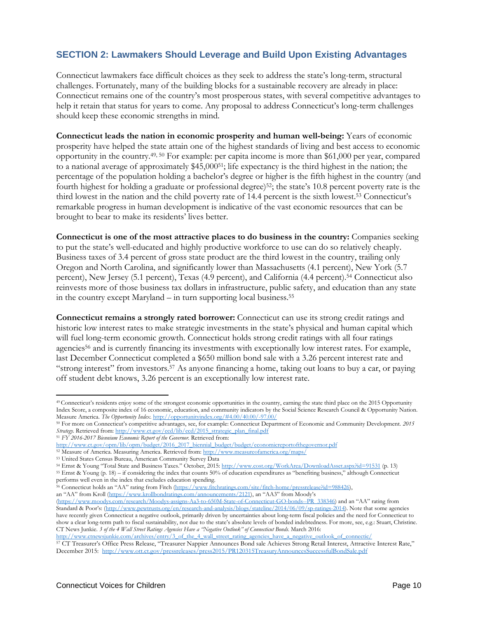# **SECTION 2: Lawmakers Should Leverage and Build Upon Existing Advantages**

Connecticut lawmakers face difficult choices as they seek to address the state's long-term, structural challenges. Fortunately, many of the building blocks for a sustainable recovery are already in place: Connecticut remains one of the country's most prosperous states, with several competitive advantages to help it retain that status for years to come. Any proposal to address Connecticut's long-term challenges should keep these economic strengths in mind.

**Connecticut leads the nation in economic prosperity and human well-being:** Years of economic prosperity have helped the state attain one of the highest standards of living and best access to economic opportunity in the country.49, 50 For example: per capita income is more than \$61,000 per year, compared to a national average of approximately \$45,00051; life expectancy is the third highest in the nation; the percentage of the population holding a bachelor's degree or higher is the fifth highest in the country (and fourth highest for holding a graduate or professional degree)52; the state's 10.8 percent poverty rate is the third lowest in the nation and the child poverty rate of 14.4 percent is the sixth lowest.53 Connecticut's remarkable progress in human development is indicative of the vast economic resources that can be brought to bear to make its residents' lives better.

**Connecticut is one of the most attractive places to do business in the country:** Companies seeking to put the state's well-educated and highly productive workforce to use can do so relatively cheaply. Business taxes of 3.4 percent of gross state product are the third lowest in the country, trailing only Oregon and North Carolina, and significantly lower than Massachusetts (4.1 percent), New York (5.7 percent), New Jersey (5.1 percent), Texas (4.9 percent), and California (4.4 percent). <sup>54</sup> Connecticut also reinvests more of those business tax dollars in infrastructure, public safety, and education than any state in the country except Maryland – in turn supporting local business.55

**Connecticut remains a strongly rated borrower:** Connecticut can use its strong credit ratings and historic low interest rates to make strategic investments in the state's physical and human capital which will fuel long-term economic growth. Connecticut holds strong credit ratings with all four ratings agencies56 and is currently financing its investments with exceptionally low interest rates. For example, last December Connecticut completed a \$650 million bond sale with a 3.26 percent interest rate and "strong interest" from investors.57 As anyone financing a home, taking out loans to buy a car, or paying off student debt knows, 3.26 percent is an exceptionally low interest rate.

performs well even in the index that excludes education spending.

56 Connecticut holds an "AA" rating from Fitch [\(https://www.fitchratings.com/site/fitch](https://www.fitchratings.com/site/fitch-home/pressrelease?id=988426)-home/pressrelease?id=988426), an "AA" from Kroll [\(https://www.krollbondratings.com/announcements/2121\)](https://www.krollbondratings.com/announcements/2121), an "AA3" from Moody's

 $\overline{\phantom{a}}$ 

<sup>49</sup> Connecticut's residents enjoy some of the strongest economic opportunities in the country, earning the state third place on the 2015 Opportunity Index Score, a composite index of 16 economic, education, and community indicators by the Social Science Research Council & Opportunity Nation. Measure America. *The Opportunity Index*[. http://opportunityindex.org/#4.00/40.00/](http://opportunityindex.org/#4.00/40.00/-97.00/)-97.00/

<sup>50</sup> For more on Connecticut's competitive advantages, see, for example: Connecticut Department of Economic and Community Development. *2015 Strategy*. Retrieved from: [http://www.ct.gov/ecd/lib/ecd/2015\\_strategic\\_plan\\_final.pdf](http://www.ct.gov/ecd/lib/ecd/2015_strategic_plan_final.pdf)

<sup>51</sup> *FY 2016-2017 Biennium Economic Report of the Governor*. Retrieved from:

[http://www.ct.gov/opm/lib/opm/budget/2016\\_2017\\_biennial\\_budget/budget/economicreportofthegovernor.pdf](http://www.ct.gov/opm/lib/opm/budget/2016_2017_biennial_budget/budget/economicreportofthegovernor.pdf)

<sup>52</sup> Measure of America. Measuring America. Retrieved from[: http://www.measureofamerica.org/maps/](http://www.measureofamerica.org/maps/)

<sup>53</sup> United States Census Bureau, American Community Survey Data

<sup>54</sup> Ernst & Young "Total State and Business Taxes." October, 2015:<http://www.cost.org/WorkArea/DownloadAsset.aspx?id=91531> (p. 13) <sup>55</sup> Ernst & Young (p. 18) – if considering the index that counts 50% of education expenditures as "benefiting business," although Connecticut

<sup>(</sup>[https://www.moodys.com/research/Moodys](https://www.moodys.com/research/Moodys-assigns-Aa3-to-650M-State-of-Connecticut-GO-bonds--PR_338346)-assigns-Aa3-to-650M-State-of-Connecticut-GO-bonds--PR\_338346) and an "AA" rating from Standard & Poor's: (http://www.pewtrusts.org/en/research-and-[analysis/blogs/stateline/2014/06/09/sp](http://www.pewtrusts.org/en/research-and-analysis/blogs/stateline/2014/06/09/sp-ratings-2014)-ratings-2014). Note that some agencies have recently given Connecticut a negative outlook, primarily driven by uncertainties about long-term fiscal policies and the need for Connecticut to show a clear long-term path to fiscal sustainability, not due to the state's absolute levels of bonded indebtedness. For more, see, e.g.: Stuart, Christine. CT News Junkie. *3 of the 4 Wall Street Ratings Agencies Have a "Negative Outlook" of Connecticut Bonds*. March 2016:

[http://www.ctnewsjunkie.com/archives/entry/3\\_of\\_the\\_4\\_wall\\_street\\_rating\\_agencies\\_have\\_a\\_negative\\_outlook\\_of\\_connectic/](http://www.ctnewsjunkie.com/archives/entry/3_of_the_4_wall_street_rating_agencies_have_a_negative_outlook_of_connectic/) <sup>57</sup> CT Treasurer's Office Press Release, "Treasurer Nappier Announces Bond sale Achieves Strong Retail Interest, Attractive Interest Rate," December 2015:<http://www.ott.ct.gov/pressreleases/press2015/PR120315TreasuryAnnouncesSuccessfulBondSale.pdf>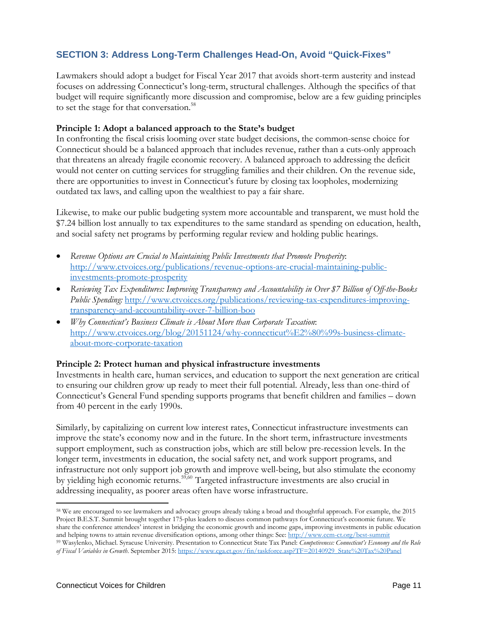# **SECTION 3: Address Long-Term Challenges Head-On, Avoid "Quick-Fixes"**

Lawmakers should adopt a budget for Fiscal Year 2017 that avoids short-term austerity and instead focuses on addressing Connecticut's long-term, structural challenges. Although the specifics of that budget will require significantly more discussion and compromise, below are a few guiding principles to set the stage for that conversation.<sup>58</sup>

#### **Principle 1: Adopt a balanced approach to the State's budget**

In confronting the fiscal crisis looming over state budget decisions, the common-sense choice for Connecticut should be a balanced approach that includes revenue, rather than a cuts-only approach that threatens an already fragile economic recovery. A balanced approach to addressing the deficit would not center on cutting services for struggling families and their children. On the revenue side, there are opportunities to invest in Connecticut's future by closing tax loopholes, modernizing outdated tax laws, and calling upon the wealthiest to pay a fair share.

Likewise, to make our public budgeting system more accountable and transparent, we must hold the \$7.24 billion lost annually to tax expenditures to the same standard as spending on education, health, and social safety net programs by performing regular review and holding public hearings.

- *Revenue Options are Crucial to Maintaining Public Investments that Promote Prosperity*: [http://www.ctvoices.org/publications/revenue](http://www.ctvoices.org/publications/revenue-options-are-crucial-maintaining-public-investments-promote-prosperity)-options-are-crucial-maintaining-public[investments](http://www.ctvoices.org/publications/revenue-options-are-crucial-maintaining-public-investments-promote-prosperity)-promote-prosperity
- *Reviewing Tax Expenditures: Improving Transparency and Accountability in Over \$7 Billion of Off-the-Books Public Spending:* [http://www.ctvoices.org/publications/reviewing](http://www.ctvoices.org/publications/reviewing-tax-expenditures-improving-transparency-and-accountability-over-7-billion-boo)-tax-expenditures-improvingtransparency-and-[accountability](http://www.ctvoices.org/publications/reviewing-tax-expenditures-improving-transparency-and-accountability-over-7-billion-boo)-over-7-billion-boo
- *Why Connecticut's Business Climate is About More than Corporate Taxation*: [http://www.ctvoices.org/blog/20151124/why](http://www.ctvoices.org/blog/20151124/why-connecticut%E2%80%99s-business-climate-about-more-corporate-taxation)-connecticut%E2%80%99s-business-climateabout-more-[corporate](http://www.ctvoices.org/blog/20151124/why-connecticut%E2%80%99s-business-climate-about-more-corporate-taxation)-taxation

#### **Principle 2: Protect human and physical infrastructure investments**

Investments in health care, human services, and education to support the next generation are critical to ensuring our children grow up ready to meet their full potential. Already, less than one-third of Connecticut's General Fund spending supports programs that benefit children and families – down from 40 percent in the early 1990s.

Similarly, by capitalizing on current low interest rates, Connecticut infrastructure investments can improve the state's economy now and in the future. In the short term, infrastructure investments support employment, such as construction jobs, which are still below pre-recession levels. In the longer term, investments in education, the social safety net, and work support programs, and infrastructure not only support job growth and improve well-being, but also stimulate the economy by yielding high economic returns.<sup>59,60</sup> Targeted infrastructure investments are also crucial in addressing inequality, as poorer areas often have worse infrastructure.

 $\overline{\phantom{a}}$ <sup>58</sup> We are encouraged to see lawmakers and advocacy groups already taking a broad and thoughtful approach. For example, the 2015 Project B.E.S.T. Summit brought together 175-plus leaders to discuss common pathways for Connecticut's economic future. We share the conference attendees' interest in bridging the economic growth and income gaps, improving investments in public education and helping towns to attain revenue diversification options, among other things: See: [http://www.ccm](http://www.ccm-ct.org/best-summit)-ct.org/best-summit <sup>59</sup> Wasylenko, Michael. Syracuse University. Presentation to Connecticut State Tax Panel: *Competiveness: Connecticut's Economy and the Role* 

*of Fiscal Variables in Growth*. September 2015: [https://www.cga.ct.gov/fin/taskforce.asp?TF=20140929\\_State%20Tax%20Panel](https://www.cga.ct.gov/fin/taskforce.asp?TF=20140929_State%20Tax%20Panel)